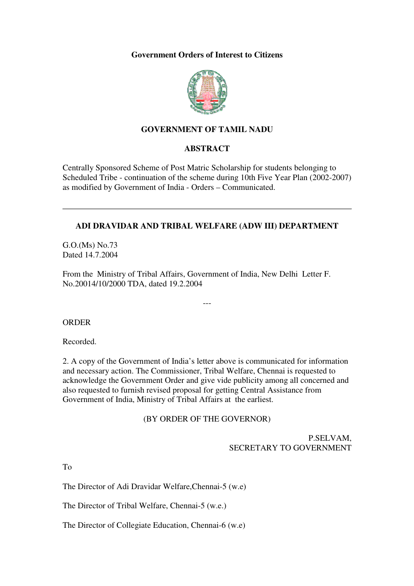#### **Government Orders of Interest to Citizens**



### **GOVERNMENT OF TAMIL NADU**

#### **ABSTRACT**

Centrally Sponsored Scheme of Post Matric Scholarship for students belonging to Scheduled Tribe - continuation of the scheme during 10th Five Year Plan (2002-2007) as modified by Government of India - Orders – Communicated.

#### **ADI DRAVIDAR AND TRIBAL WELFARE (ADW III) DEPARTMENT**

G.O.(Ms) No.73 Dated 14.7.2004

From the Ministry of Tribal Affairs, Government of India, New Delhi Letter F. No.20014/10/2000 TDA, dated 19.2.2004

---

#### ORDER

Recorded.

2. A copy of the Government of India's letter above is communicated for information and necessary action. The Commissioner, Tribal Welfare, Chennai is requested to acknowledge the Government Order and give vide publicity among all concerned and also requested to furnish revised proposal for getting Central Assistance from Government of India, Ministry of Tribal Affairs at the earliest.

#### (BY ORDER OF THE GOVERNOR)

## P.SELVAM, SECRETARY TO GOVERNMENT

To

The Director of Adi Dravidar Welfare,Chennai-5 (w.e)

The Director of Tribal Welfare, Chennai-5 (w.e.)

The Director of Collegiate Education, Chennai-6 (w.e)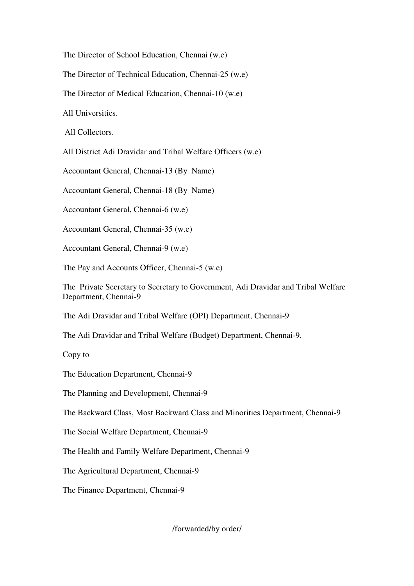The Director of School Education, Chennai (w.e)

The Director of Technical Education, Chennai-25 (w.e)

The Director of Medical Education, Chennai-10 (w.e)

All Universities.

All Collectors.

All District Adi Dravidar and Tribal Welfare Officers (w.e)

Accountant General, Chennai-13 (By Name)

Accountant General, Chennai-18 (By Name)

Accountant General, Chennai-6 (w.e)

Accountant General, Chennai-35 (w.e)

Accountant General, Chennai-9 (w.e)

The Pay and Accounts Officer, Chennai-5 (w.e)

The Private Secretary to Secretary to Government, Adi Dravidar and Tribal Welfare Department, Chennai-9

The Adi Dravidar and Tribal Welfare (OPI) Department, Chennai-9

The Adi Dravidar and Tribal Welfare (Budget) Department, Chennai-9.

Copy to

The Education Department, Chennai-9

The Planning and Development, Chennai-9

The Backward Class, Most Backward Class and Minorities Department, Chennai-9

The Social Welfare Department, Chennai-9

The Health and Family Welfare Department, Chennai-9

The Agricultural Department, Chennai-9

The Finance Department, Chennai-9

/forwarded/by order/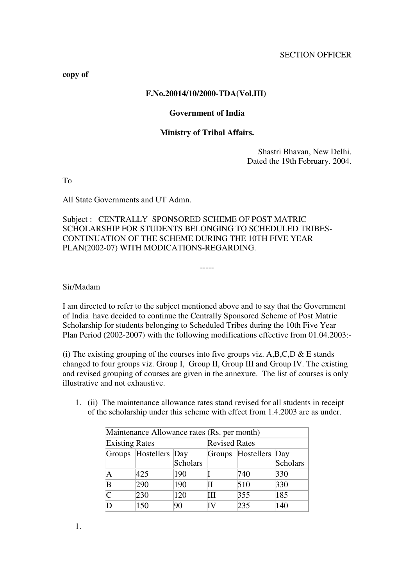**copy of**

#### **F.No.20014/10/2000-TDA(Vol.III)**

#### **Government of India**

#### **Ministry of Tribal Affairs.**

Shastri Bhavan, New Delhi. Dated the 19th February. 2004.

To

All State Governments and UT Admn.

Subject : CENTRALLY SPONSORED SCHEME OF POST MATRIC SCHOLARSHIP FOR STUDENTS BELONGING TO SCHEDULED TRIBES-CONTINUATION OF THE SCHEME DURING THE 10TH FIVE YEAR PLAN(2002-07) WITH MODICATIONS-REGARDING.

Sir/Madam

I am directed to refer to the subject mentioned above and to say that the Government of India have decided to continue the Centrally Sponsored Scheme of Post Matric Scholarship for students belonging to Scheduled Tribes during the 10th Five Year Plan Period (2002-2007) with the following modifications effective from 01.04.2003:-

-----

(i) The existing grouping of the courses into five groups viz. A,B,C,D  $\&$  E stands changed to four groups viz. Group I, Group II, Group III and Group IV. The existing and revised grouping of courses are given in the annexure. The list of courses is only illustrative and not exhaustive.

1. (ii) The maintenance allowance rates stand revised for all students in receipt of the scholarship under this scheme with effect from 1.4.2003 are as under.

| Maintenance Allowance rates (Rs. per month)    |     |                      |   |     |          |
|------------------------------------------------|-----|----------------------|---|-----|----------|
| <b>Existing Rates</b>                          |     | <b>Revised Rates</b> |   |     |          |
| Groups Hostellers Day<br>Groups Hostellers Day |     |                      |   |     |          |
|                                                |     | <b>Scholars</b>      |   |     | Scholars |
| Α                                              | 425 | 190                  |   | 740 | 330      |
| В                                              | 290 | 190                  |   | 510 | 330      |
| Ċ                                              | 230 | 120                  | Ш | 355 | 185      |
|                                                | 150 | 90                   |   | 235 | 140      |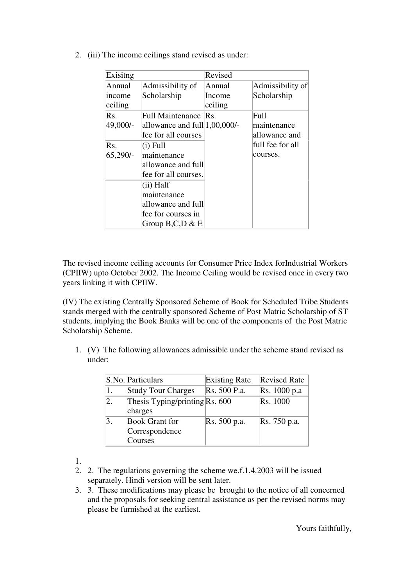2. (iii) The income ceilings stand revised as under:

| Exisitng                    |                                                                                                                                                 | Revised                     |                                      |
|-----------------------------|-------------------------------------------------------------------------------------------------------------------------------------------------|-----------------------------|--------------------------------------|
| Annual<br>income<br>ceiling | Admissibility of<br>Scholarship                                                                                                                 | Annual<br>Income<br>ceiling | Admissibility of<br>Scholarship      |
| Rs.<br>49,000/-             | Full Maintenance Rs.<br>allowance and full 1,00,000/-<br>fee for all courses                                                                    |                             | Full<br>maintenance<br>allowance and |
| Rs.<br>65,290/-             | $(i)$ Full<br>maintenance<br>allowance and full<br>fee for all courses.<br>(ii) Half<br>maintenance<br>allowance and full<br>fee for courses in |                             | full fee for all<br>courses.         |

The revised income ceiling accounts for Consumer Price Index forIndustrial Workers (CPIIW) upto October 2002. The Income Ceiling would be revised once in every two years linking it with CPIIW.

(IV) The existing Centrally Sponsored Scheme of Book for Scheduled Tribe Students stands merged with the centrally sponsored Scheme of Post Matric Scholarship of ST students, implying the Book Banks will be one of the components of the Post Matric Scholarship Scheme.

1. (V) The following allowances admissible under the scheme stand revised as under:

|                  | S.No. Particulars                                  | <b>Existing Rate</b> | <b>Revised Rate</b> |
|------------------|----------------------------------------------------|----------------------|---------------------|
| 1.               | <b>Study Tour Charges</b>                          | Rs. 500 P.a.         | Rs. 1000 p.a        |
| $\vert 2. \vert$ | Thesis Typing/printing $Rs. 600$<br>charges        |                      | Rs. 1000            |
| 3.               | <b>Book Grant for</b><br>Correspondence<br>Courses | Rs. 500 p.a.         | Rs. 750 p.a.        |

1.

- 2. 2. The regulations governing the scheme we.f.1.4.2003 will be issued separately. Hindi version will be sent later.
- 3. 3. These modifications may please be brought to the notice of all concerned and the proposals for seeking central assistance as per the revised norms may please be furnished at the earliest.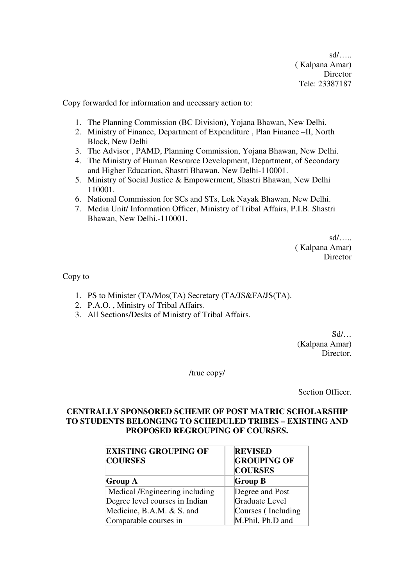sd/….. ( Kalpana Amar) **Director** Tele: 23387187

Copy forwarded for information and necessary action to:

- 1. The Planning Commission (BC Division), Yojana Bhawan, New Delhi.
- 2. Ministry of Finance, Department of Expenditure , Plan Finance –II, North Block, New Delhi
- 3. The Advisor , PAMD, Planning Commission, Yojana Bhawan, New Delhi.
- 4. The Ministry of Human Resource Development, Department, of Secondary and Higher Education, Shastri Bhawan, New Delhi-110001.
- 5. Ministry of Social Justice & Empowerment, Shastri Bhawan, New Delhi 110001.
- 6. National Commission for SCs and STs, Lok Nayak Bhawan, New Delhi.
- 7. Media Unit/ Information Officer, Ministry of Tribal Affairs, P.I.B. Shastri Bhawan, New Delhi.-110001.

sd/….. ( Kalpana Amar) **Director** 

Copy to

- 1. PS to Minister (TA/Mos(TA) Secretary (TA/JS&FA/JS(TA).
- 2. P.A.O. , Ministry of Tribal Affairs.
- 3. All Sections/Desks of Ministry of Tribal Affairs.

 $Sd/$ … (Kalpana Amar) Director.

/true copy/

Section Officer.

### **CENTRALLY SPONSORED SCHEME OF POST MATRIC SCHOLARSHIP TO STUDENTS BELONGING TO SCHEDULED TRIBES – EXISTING AND PROPOSED REGROUPING OF COURSES.**

| <b>EXISTING GROUPING OF</b><br><b>COURSES</b> | <b>REVISED</b><br><b>GROUPING OF</b><br><b>COURSES</b> |  |
|-----------------------------------------------|--------------------------------------------------------|--|
| <b>Group A</b>                                | <b>Group B</b>                                         |  |
| Medical /Engineering including                | Degree and Post                                        |  |
| Degree level courses in Indian                | Graduate Level                                         |  |
| Medicine, B.A.M. & S. and                     | Courses (Including                                     |  |
| Comparable courses in                         | M.Phil, Ph.D and                                       |  |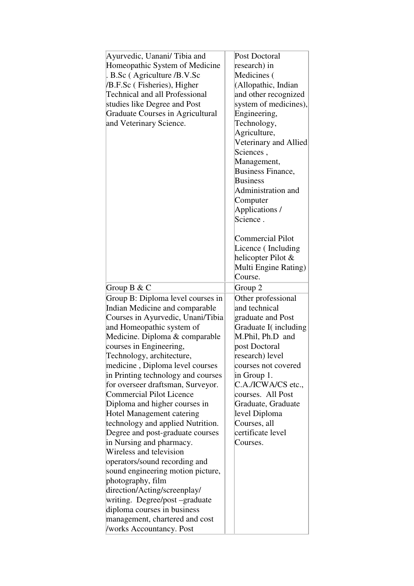| Ayurvedic, Uanani/Tibia and<br>Homeopathic System of Medicine<br>. B.Sc (Agriculture /B.V.Sc<br>/B.F.Sc (Fisheries), Higher<br><b>Technical and all Professional</b><br>studies like Degree and Post<br>Graduate Courses in Agricultural<br>and Veterinary Science.                                                                                                                                                                                                                                                                                                                                                                                                                                                                                                                                                                             | Post Doctoral<br>research) in<br>Medicines (<br>(Allopathic, Indian<br>and other recognized<br>system of medicines),<br>Engineering,<br>Technology,<br>Agriculture,<br>Veterinary and Allied<br>Sciences.<br>Management,<br><b>Business Finance,</b><br><b>Business</b><br>Administration and<br>Computer<br>Applications/ |
|-------------------------------------------------------------------------------------------------------------------------------------------------------------------------------------------------------------------------------------------------------------------------------------------------------------------------------------------------------------------------------------------------------------------------------------------------------------------------------------------------------------------------------------------------------------------------------------------------------------------------------------------------------------------------------------------------------------------------------------------------------------------------------------------------------------------------------------------------|----------------------------------------------------------------------------------------------------------------------------------------------------------------------------------------------------------------------------------------------------------------------------------------------------------------------------|
| Group $B & C$                                                                                                                                                                                                                                                                                                                                                                                                                                                                                                                                                                                                                                                                                                                                                                                                                                   | Science.<br><b>Commercial Pilot</b><br>Licence (Including<br>helicopter Pilot &<br>Multi Engine Rating)<br>Course.<br>Group 2                                                                                                                                                                                              |
| Group B: Diploma level courses in<br>Indian Medicine and comparable<br>Courses in Ayurvedic, Unani/Tibia<br>and Homeopathic system of<br>Medicine. Diploma & comparable<br>courses in Engineering,<br>Technology, architecture,<br>medicine, Diploma level courses<br>in Printing technology and courses<br>for overseer draftsman, Surveyor.<br><b>Commercial Pilot Licence</b><br>Diploma and higher courses in<br><b>Hotel Management catering</b><br>technology and applied Nutrition.<br>Degree and post-graduate courses<br>in Nursing and pharmacy.<br>Wireless and television<br>operators/sound recording and<br>sound engineering motion picture,<br>photography, film<br>direction/Acting/screenplay/<br>writing. Degree/post -graduate<br>diploma courses in business<br>management, chartered and cost<br>/works Accountancy. Post | Other professional<br>and technical<br>graduate and Post<br>Graduate I(including<br>M.Phil, Ph.D and<br>post Doctoral<br>research) level<br>courses not covered<br>in Group 1.<br>C.A./ICWA/CS etc.,<br>courses. All Post<br>Graduate, Graduate<br>level Diploma<br>Courses, all<br>certificate level<br>Courses.          |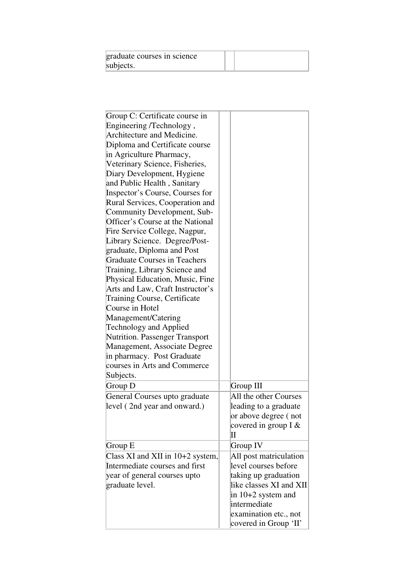| graduate courses in science |  |
|-----------------------------|--|
| subjects.                   |  |

| Group C: Certificate course in<br>Engineering /Technology,<br>Architecture and Medicine.<br>Diploma and Certificate course<br>in Agriculture Pharmacy,<br>Veterinary Science, Fisheries,<br>Diary Development, Hygiene<br>and Public Health, Sanitary<br>Inspector's Course, Courses for<br>Rural Services, Cooperation and<br>Community Development, Sub-<br>Officer's Course at the National<br>Fire Service College, Nagpur,<br>Library Science. Degree/Post-<br>graduate, Diploma and Post<br><b>Graduate Courses in Teachers</b><br>Training, Library Science and<br>Physical Education, Music, Fine<br>Arts and Law, Craft Instructor's<br><b>Training Course, Certificate</b><br>Course in Hotel<br>Management/Catering<br><b>Technology and Applied</b><br><b>Nutrition. Passenger Transport</b><br>Management, Associate Degree<br>in pharmacy. Post Graduate<br>courses in Arts and Commerce<br>Subjects.<br>Group D | Group III                                                                            |
|--------------------------------------------------------------------------------------------------------------------------------------------------------------------------------------------------------------------------------------------------------------------------------------------------------------------------------------------------------------------------------------------------------------------------------------------------------------------------------------------------------------------------------------------------------------------------------------------------------------------------------------------------------------------------------------------------------------------------------------------------------------------------------------------------------------------------------------------------------------------------------------------------------------------------------|--------------------------------------------------------------------------------------|
| General Courses upto graduate                                                                                                                                                                                                                                                                                                                                                                                                                                                                                                                                                                                                                                                                                                                                                                                                                                                                                                  | All the other Courses                                                                |
| level (2nd year and onward.)                                                                                                                                                                                                                                                                                                                                                                                                                                                                                                                                                                                                                                                                                                                                                                                                                                                                                                   | leading to a graduate<br>or above degree (not<br>covered in group I $&$<br>$\rm{II}$ |
| Group E                                                                                                                                                                                                                                                                                                                                                                                                                                                                                                                                                                                                                                                                                                                                                                                                                                                                                                                        | Group IV                                                                             |
| Class XI and XII in 10+2 system,                                                                                                                                                                                                                                                                                                                                                                                                                                                                                                                                                                                                                                                                                                                                                                                                                                                                                               | All post matriculation                                                               |
| Intermediate courses and first                                                                                                                                                                                                                                                                                                                                                                                                                                                                                                                                                                                                                                                                                                                                                                                                                                                                                                 | level courses before                                                                 |
| year of general courses upto                                                                                                                                                                                                                                                                                                                                                                                                                                                                                                                                                                                                                                                                                                                                                                                                                                                                                                   | taking up graduation                                                                 |
| graduate level.                                                                                                                                                                                                                                                                                                                                                                                                                                                                                                                                                                                                                                                                                                                                                                                                                                                                                                                | like classes XI and XII                                                              |
|                                                                                                                                                                                                                                                                                                                                                                                                                                                                                                                                                                                                                                                                                                                                                                                                                                                                                                                                | in 10+2 system and                                                                   |
|                                                                                                                                                                                                                                                                                                                                                                                                                                                                                                                                                                                                                                                                                                                                                                                                                                                                                                                                | intermediate                                                                         |
|                                                                                                                                                                                                                                                                                                                                                                                                                                                                                                                                                                                                                                                                                                                                                                                                                                                                                                                                | examination etc., not                                                                |
|                                                                                                                                                                                                                                                                                                                                                                                                                                                                                                                                                                                                                                                                                                                                                                                                                                                                                                                                | covered in Group 'II'                                                                |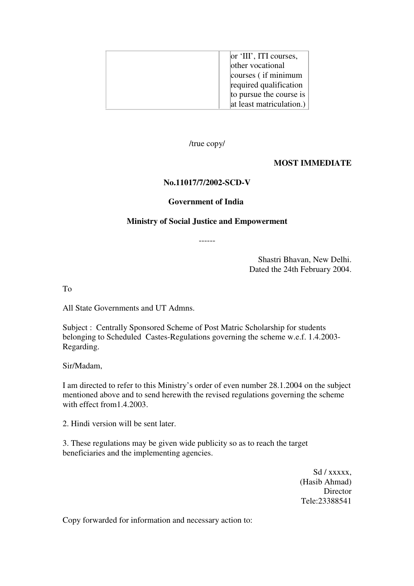| $\alpha$ 'III', ITI courses,<br>other vocational<br>courses (if minimum<br>required qualification<br>to pursue the course is |
|------------------------------------------------------------------------------------------------------------------------------|
| at least matriculation.)                                                                                                     |

/true copy/

### **MOST IMMEDIATE**

### **No.11017/7/2002-SCD-V**

#### **Government of India**

#### **Ministry of Social Justice and Empowerment**

------

Shastri Bhavan, New Delhi. Dated the 24th February 2004.

To

All State Governments and UT Admns.

Subject : Centrally Sponsored Scheme of Post Matric Scholarship for students belonging to Scheduled Castes-Regulations governing the scheme w.e.f. 1.4.2003- Regarding.

Sir/Madam,

I am directed to refer to this Ministry's order of even number 28.1.2004 on the subject mentioned above and to send herewith the revised regulations governing the scheme with effect from1.4.2003.

2. Hindi version will be sent later.

3. These regulations may be given wide publicity so as to reach the target beneficiaries and the implementing agencies.

> Sd / xxxxx, (Hasib Ahmad) Director Tele:23388541

Copy forwarded for information and necessary action to: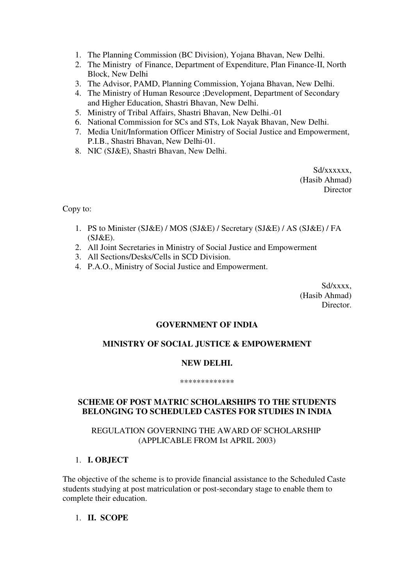- 1. The Planning Commission (BC Division), Yojana Bhavan, New Delhi.
- 2. The Ministry of Finance, Department of Expenditure, Plan Finance-II, North Block, New Delhi
- 3. The Advisor, PAMD, Planning Commission, Yojana Bhavan, New Delhi.
- 4. The Ministry of Human Resource ;Development, Department of Secondary and Higher Education, Shastri Bhavan, New Delhi.
- 5. Ministry of Tribal Affairs, Shastri Bhavan, New Delhi.-01
- 6. National Commission for SCs and STs, Lok Nayak Bhavan, New Delhi.
- 7. Media Unit/Information Officer Ministry of Social Justice and Empowerment, P.I.B., Shastri Bhavan, New Delhi-01.
- 8. NIC (SJ&E), Shastri Bhavan, New Delhi.

Sd/xxxxxx. (Hasib Ahmad) **Director** 

Copy to:

- 1. PS to Minister (SJ&E) / MOS (SJ&E) / Secretary (SJ&E) / AS (SJ&E) / FA (SJ&E).
- 2. All Joint Secretaries in Ministry of Social Justice and Empowerment
- 3. All Sections/Desks/Cells in SCD Division.
- 4. P.A.O., Ministry of Social Justice and Empowerment.

Sd/xxxx, (Hasib Ahmad) Director.

#### **GOVERNMENT OF INDIA**

# **MINISTRY OF SOCIAL JUSTICE & EMPOWERMENT**

#### **NEW DELHI.**

#### \*\*\*\*\*\*\*\*\*\*\*\*\*

#### **SCHEME OF POST MATRIC SCHOLARSHIPS TO THE STUDENTS BELONGING TO SCHEDULED CASTES FOR STUDIES IN INDIA**

#### REGULATION GOVERNING THE AWARD OF SCHOLARSHIP (APPLICABLE FROM Ist APRIL 2003)

#### 1. **I. OBJECT**

The objective of the scheme is to provide financial assistance to the Scheduled Caste students studying at post matriculation or post-secondary stage to enable them to complete their education.

#### 1. **II. SCOPE**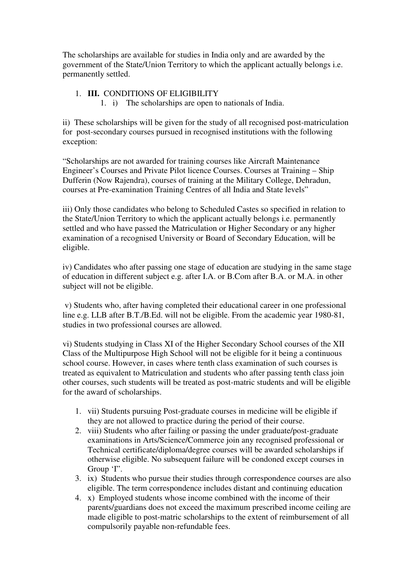The scholarships are available for studies in India only and are awarded by the government of the State/Union Territory to which the applicant actually belongs i.e. permanently settled.

# 1. **III.** CONDITIONS OF ELIGIBILITY

1. i) The scholarships are open to nationals of India.

ii) These scholarships will be given for the study of all recognised post-matriculation for post-secondary courses pursued in recognised institutions with the following exception:

"Scholarships are not awarded for training courses like Aircraft Maintenance Engineer's Courses and Private Pilot licence Courses. Courses at Training – Ship Dufferin (Now Rajendra), courses of training at the Military College, Dehradun, courses at Pre-examination Training Centres of all India and State levels"

iii) Only those candidates who belong to Scheduled Castes so specified in relation to the State/Union Territory to which the applicant actually belongs i.e. permanently settled and who have passed the Matriculation or Higher Secondary or any higher examination of a recognised University or Board of Secondary Education, will be eligible.

iv) Candidates who after passing one stage of education are studying in the same stage of education in different subject e.g. after I.A. or B.Com after B.A. or M.A. in other subject will not be eligible.

 v) Students who, after having completed their educational career in one professional line e.g. LLB after B.T./B.Ed. will not be eligible. From the academic year 1980-81, studies in two professional courses are allowed.

vi) Students studying in Class XI of the Higher Secondary School courses of the XII Class of the Multipurpose High School will not be eligible for it being a continuous school course. However, in cases where tenth class examination of such courses is treated as equivalent to Matriculation and students who after passing tenth class join other courses, such students will be treated as post-matric students and will be eligible for the award of scholarships.

- 1. vii) Students pursuing Post-graduate courses in medicine will be eligible if they are not allowed to practice during the period of their course.
- 2. viii) Students who after failing or passing the under graduate/post-graduate examinations in Arts/Science/Commerce join any recognised professional or Technical certificate/diploma/degree courses will be awarded scholarships if otherwise eligible. No subsequent failure will be condoned except courses in Group 'I".
- 3. ix) Students who pursue their studies through correspondence courses are also eligible. The term correspondence includes distant and continuing education
- 4. x) Employed students whose income combined with the income of their parents/guardians does not exceed the maximum prescribed income ceiling are made eligible to post-matric scholarships to the extent of reimbursement of all compulsorily payable non-refundable fees.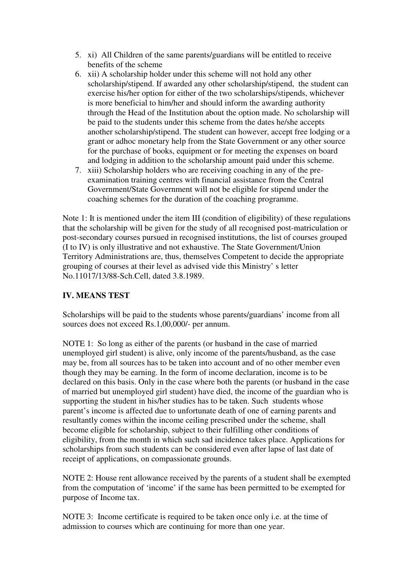- 5. xi) All Children of the same parents/guardians will be entitled to receive benefits of the scheme
- 6. xii) A scholarship holder under this scheme will not hold any other scholarship/stipend. If awarded any other scholarship/stipend, the student can exercise his/her option for either of the two scholarships/stipends, whichever is more beneficial to him/her and should inform the awarding authority through the Head of the Institution about the option made. No scholarship will be paid to the students under this scheme from the dates he/she accepts another scholarship/stipend. The student can however, accept free lodging or a grant or adhoc monetary help from the State Government or any other source for the purchase of books, equipment or for meeting the expenses on board and lodging in addition to the scholarship amount paid under this scheme.
- 7. xiii) Scholarship holders who are receiving coaching in any of the preexamination training centres with financial assistance from the Central Government/State Government will not be eligible for stipend under the coaching schemes for the duration of the coaching programme.

Note 1: It is mentioned under the item III (condition of eligibility) of these regulations that the scholarship will be given for the study of all recognised post-matriculation or post-secondary courses pursued in recognised institutions, the list of courses grouped (I to IV) is only illustrative and not exhaustive. The State Government/Union Territory Administrations are, thus, themselves Competent to decide the appropriate grouping of courses at their level as advised vide this Ministry' s letter No.11017/13/88-Sch.Cell, dated 3.8.1989.

# **IV. MEANS TEST**

Scholarships will be paid to the students whose parents/guardians' income from all sources does not exceed Rs.1,00,000/- per annum.

NOTE 1: So long as either of the parents (or husband in the case of married unemployed girl student) is alive, only income of the parents/husband, as the case may be, from all sources has to be taken into account and of no other member even though they may be earning. In the form of income declaration, income is to be declared on this basis. Only in the case where both the parents (or husband in the case of married but unemployed girl student) have died, the income of the guardian who is supporting the student in his/her studies has to be taken. Such students whose parent's income is affected due to unfortunate death of one of earning parents and resultantly comes within the income ceiling prescribed under the scheme, shall become eligible for scholarship, subject to their fulfilling other conditions of eligibility, from the month in which such sad incidence takes place. Applications for scholarships from such students can be considered even after lapse of last date of receipt of applications, on compassionate grounds.

NOTE 2: House rent allowance received by the parents of a student shall be exempted from the computation of 'income' if the same has been permitted to be exempted for purpose of Income tax.

NOTE 3: Income certificate is required to be taken once only i.e. at the time of admission to courses which are continuing for more than one year.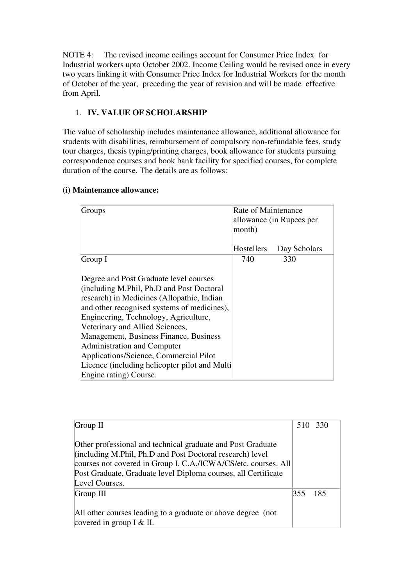NOTE 4: The revised income ceilings account for Consumer Price Index for Industrial workers upto October 2002. Income Ceiling would be revised once in every two years linking it with Consumer Price Index for Industrial Workers for the month of October of the year, preceding the year of revision and will be made effective from April.

# 1. **IV. VALUE OF SCHOLARSHIP**

The value of scholarship includes maintenance allowance, additional allowance for students with disabilities, reimbursement of compulsory non-refundable fees, study tour charges, thesis typing/printing charges, book allowance for students pursuing correspondence courses and book bank facility for specified courses, for complete duration of the course. The details are as follows:

# **(i) Maintenance allowance:**

| Groups                                                                                                                                                                                                                                                                                                                                                                                                                                                     | Rate of Maintenance<br>month) | allowance (in Rupees per |
|------------------------------------------------------------------------------------------------------------------------------------------------------------------------------------------------------------------------------------------------------------------------------------------------------------------------------------------------------------------------------------------------------------------------------------------------------------|-------------------------------|--------------------------|
|                                                                                                                                                                                                                                                                                                                                                                                                                                                            | Hostellers                    | Day Scholars             |
| Group I                                                                                                                                                                                                                                                                                                                                                                                                                                                    | 740                           | 330                      |
| Degree and Post Graduate level courses<br>(including M.Phil, Ph.D and Post Doctoral<br>research) in Medicines (Allopathic, Indian<br>and other recognised systems of medicines),<br>Engineering, Technology, Agriculture,<br>Veterinary and Allied Sciences,<br>Management, Business Finance, Business<br>Administration and Computer<br>Applications/Science, Commercial Pilot<br>Licence (including helicopter pilot and Multi<br>Engine rating) Course. |                               |                          |

| Group $II$                                                                                                                                                                                 | 510 330 |  |
|--------------------------------------------------------------------------------------------------------------------------------------------------------------------------------------------|---------|--|
| Other professional and technical graduate and Post Graduate<br>(including M.Phil, Ph.D and Post Doctoral research) level<br>courses not covered in Group I. C.A./ICWA/CS/etc. courses. All |         |  |
| Post Graduate, Graduate level Diploma courses, all Certificate                                                                                                                             |         |  |
| Level Courses.                                                                                                                                                                             |         |  |
| Group III                                                                                                                                                                                  | 355 185 |  |
| All other courses leading to a graduate or above degree (not<br>covered in group $I \& II$ .                                                                                               |         |  |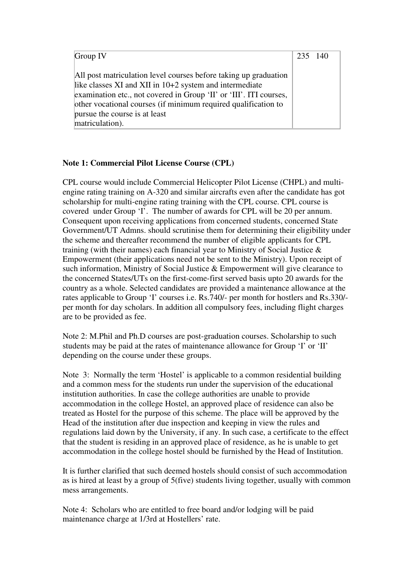| Group IV                                                                                                                                                                                                                                                                                                                | 235 140 |  |
|-------------------------------------------------------------------------------------------------------------------------------------------------------------------------------------------------------------------------------------------------------------------------------------------------------------------------|---------|--|
| All post matriculation level courses before taking up graduation<br>like classes XI and XII in 10+2 system and intermediate<br>examination etc., not covered in Group 'II' or 'III'. ITI courses,<br>other vocational courses (if minimum required qualification to<br>pursue the course is at least<br>matriculation). |         |  |

### **Note 1: Commercial Pilot License Course (CPL)**

CPL course would include Commercial Helicopter Pilot License (CHPL) and multiengine rating training on A-320 and similar aircrafts even after the candidate has got scholarship for multi-engine rating training with the CPL course. CPL course is covered under Group 'I'. The number of awards for CPL will be 20 per annum. Consequent upon receiving applications from concerned students, concerned State Government/UT Admns. should scrutinise them for determining their eligibility under the scheme and thereafter recommend the number of eligible applicants for CPL training (with their names) each financial year to Ministry of Social Justice & Empowerment (their applications need not be sent to the Ministry). Upon receipt of such information, Ministry of Social Justice & Empowerment will give clearance to the concerned States/UTs on the first-come-first served basis upto 20 awards for the country as a whole. Selected candidates are provided a maintenance allowance at the rates applicable to Group 'I' courses i.e. Rs.740/- per month for hostlers and Rs.330/ per month for day scholars. In addition all compulsory fees, including flight charges are to be provided as fee.

Note 2: M.Phil and Ph.D courses are post-graduation courses. Scholarship to such students may be paid at the rates of maintenance allowance for Group 'I' or 'II' depending on the course under these groups.

Note 3: Normally the term 'Hostel' is applicable to a common residential building and a common mess for the students run under the supervision of the educational institution authorities. In case the college authorities are unable to provide accommodation in the college Hostel, an approved place of residence can also be treated as Hostel for the purpose of this scheme. The place will be approved by the Head of the institution after due inspection and keeping in view the rules and regulations laid down by the University, if any. In such case, a certificate to the effect that the student is residing in an approved place of residence, as he is unable to get accommodation in the college hostel should be furnished by the Head of Institution.

It is further clarified that such deemed hostels should consist of such accommodation as is hired at least by a group of 5(five) students living together, usually with common mess arrangements.

Note 4: Scholars who are entitled to free board and/or lodging will be paid maintenance charge at 1/3rd at Hostellers' rate.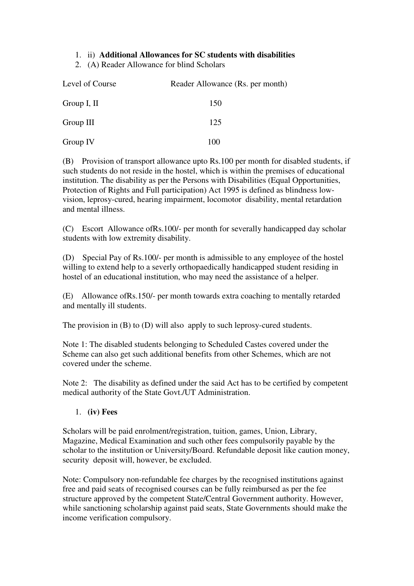# 1. ii) **Additional Allowances for SC students with disabilities**

2. (A) Reader Allowance for blind Scholars

| Level of Course | Reader Allowance (Rs. per month) |
|-----------------|----------------------------------|
| Group I, II     | 150                              |
| Group III       | 125                              |
| Group IV        | 100                              |

(B) Provision of transport allowance upto Rs.100 per month for disabled students, if such students do not reside in the hostel, which is within the premises of educational institution. The disability as per the Persons with Disabilities (Equal Opportunities, Protection of Rights and Full participation) Act 1995 is defined as blindness lowvision, leprosy-cured, hearing impairment, locomotor disability, mental retardation and mental illness.

(C) Escort Allowance ofRs.100/- per month for severally handicapped day scholar students with low extremity disability.

(D) Special Pay of Rs.100/- per month is admissible to any employee of the hostel willing to extend help to a severly orthopaedically handicapped student residing in hostel of an educational institution, who may need the assistance of a helper.

(E) Allowance ofRs.150/- per month towards extra coaching to mentally retarded and mentally ill students.

The provision in (B) to (D) will also apply to such leprosy-cured students.

Note 1: The disabled students belonging to Scheduled Castes covered under the Scheme can also get such additional benefits from other Schemes, which are not covered under the scheme.

Note 2: The disability as defined under the said Act has to be certified by competent medical authority of the State Govt./UT Administration.

1. **(iv) Fees**

Scholars will be paid enrolment/registration, tuition, games, Union, Library, Magazine, Medical Examination and such other fees compulsorily payable by the scholar to the institution or University/Board. Refundable deposit like caution money, security deposit will, however, be excluded.

Note: Compulsory non-refundable fee charges by the recognised institutions against free and paid seats of recognised courses can be fully reimbursed as per the fee structure approved by the competent State/Central Government authority. However, while sanctioning scholarship against paid seats, State Governments should make the income verification compulsory.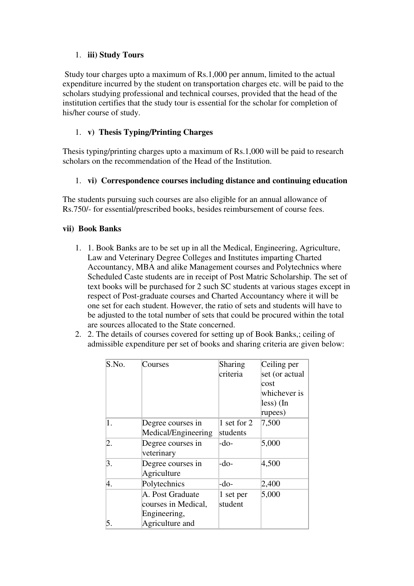# 1. **iii) Study Tours**

 Study tour charges upto a maximum of Rs.1,000 per annum, limited to the actual expenditure incurred by the student on transportation charges etc. will be paid to the scholars studying professional and technical courses, provided that the head of the institution certifies that the study tour is essential for the scholar for completion of his/her course of study.

## 1. **v) Thesis Typing/Printing Charges**

Thesis typing/printing charges upto a maximum of Rs.1,000 will be paid to research scholars on the recommendation of the Head of the Institution.

### 1. **vi) Correspondence courses including distance and continuing education**

The students pursuing such courses are also eligible for an annual allowance of Rs.750/- for essential/prescribed books, besides reimbursement of course fees.

#### **vii) Book Banks**

- 1. 1. Book Banks are to be set up in all the Medical, Engineering, Agriculture, Law and Veterinary Degree Colleges and Institutes imparting Charted Accountancy, MBA and alike Management courses and Polytechnics where Scheduled Caste students are in receipt of Post Matric Scholarship. The set of text books will be purchased for 2 such SC students at various stages except in respect of Post-graduate courses and Charted Accountancy where it will be one set for each student. However, the ratio of sets and students will have to be adjusted to the total number of sets that could be procured within the total are sources allocated to the State concerned.
- 2. 2. The details of courses covered for setting up of Book Banks,; ceiling of admissible expenditure per set of books and sharing criteria are given below:

| S.No.            | Courses             | Sharing     | Ceiling per         |
|------------------|---------------------|-------------|---------------------|
|                  |                     | criteria    | set (or actual      |
|                  |                     |             | cost                |
|                  |                     |             | whichever is        |
|                  |                     |             | $\text{less}$ ) (In |
|                  |                     |             | rupees)             |
| $\overline{1}$ . | Degree courses in   | 1 set for 2 | 7,500               |
|                  | Medical/Engineering | students    |                     |
| $\overline{2}.$  | Degree courses in   | -do-        | 5,000               |
|                  | veterinary          |             |                     |
| 3.               | Degree courses in   | -do-        | 4,500               |
|                  | Agriculture         |             |                     |
| 4.               | Polytechnics        | -do-        | 2,400               |
|                  | A. Post Graduate    | 1 set per   | 5,000               |
|                  | courses in Medical, | student     |                     |
|                  | Engineering,        |             |                     |
| 5.               | Agriculture and     |             |                     |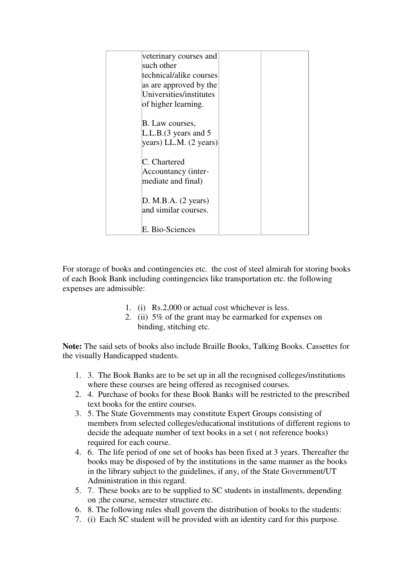| veterinary courses and  |
|-------------------------|
| such other              |
| technical/alike courses |
| as are approved by the  |
| Universities/institutes |
| of higher learning.     |
|                         |
| B. Law courses,         |
| L.L.B.(3 years and 5)   |
| [years) LL.M. (2 years) |
|                         |
| C. Chartered            |
| Accountancy (inter-     |
| mediate and final)      |
|                         |
| D. M.B.A. (2 years)     |
| and similar courses.    |
|                         |
| E. Bio-Sciences         |

For storage of books and contingencies etc. the cost of steel almirah for storing books of each Book Bank including contingencies like transportation etc. the following expenses are admissible:

- 1. (i) Rs.2,000 or actual cost whichever is less.
- 2. (ii) 5% of the grant may be earmarked for expenses on binding, stitching etc.

**Note:** The said sets of books also include Braille Books, Talking Books. Cassettes for the visually Handicapped students.

- 1. 3. The Book Banks are to be set up in all the recognised colleges/institutions where these courses are being offered as recognised courses.
- 2. 4. Purchase of books for these Book Banks will be restricted to the prescribed text books for the entire courses.
- 3. 5. The State Governments may constitute Expert Groups consisting of members from selected colleges/educational institutions of different regions to decide the adequate number of text books in a set ( not reference books) required for each course.
- 4. 6. The life period of one set of books has been fixed at 3 years. Thereafter the books may be disposed of by the institutions in the same manner as the books in the library subject to the guidelines, if any, of the State Government/UT Administration in this regard.
- 5. 7. These books are to be supplied to SC students in installments, depending on ;the course, semester structure etc.
- 6. 8. The following rules shall govern the distribution of books to the students:
- 7. (i) Each SC student will be provided with an identity card for this purpose.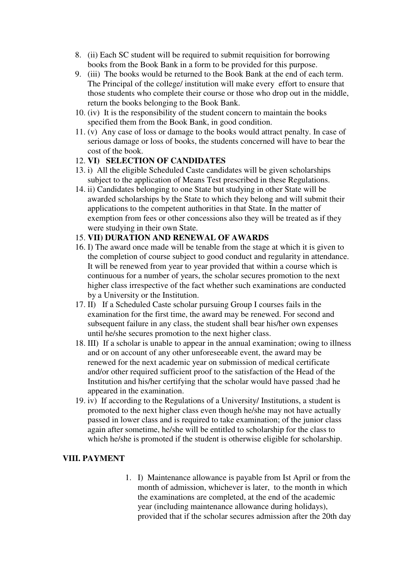- 8. (ii) Each SC student will be required to submit requisition for borrowing books from the Book Bank in a form to be provided for this purpose.
- 9. (iii) The books would be returned to the Book Bank at the end of each term. The Principal of the college/ institution will make every effort to ensure that those students who complete their course or those who drop out in the middle, return the books belonging to the Book Bank.
- 10. (iv) It is the responsibility of the student concern to maintain the books specified them from the Book Bank, in good condition.
- 11. (v) Any case of loss or damage to the books would attract penalty. In case of serious damage or loss of books, the students concerned will have to bear the cost of the book.

# 12. **VI) SELECTION OF CANDIDATES**

- 13. i) All the eligible Scheduled Caste candidates will be given scholarships subject to the application of Means Test prescribed in these Regulations.
- 14. ii) Candidates belonging to one State but studying in other State will be awarded scholarships by the State to which they belong and will submit their applications to the competent authorities in that State. In the matter of exemption from fees or other concessions also they will be treated as if they were studying in their own State.

# 15. **VII) DURATION AND RENEWAL OF AWARDS**

- 16. I) The award once made will be tenable from the stage at which it is given to the completion of course subject to good conduct and regularity in attendance. It will be renewed from year to year provided that within a course which is continuous for a number of years, the scholar secures promotion to the next higher class irrespective of the fact whether such examinations are conducted by a University or the Institution.
- 17. II) If a Scheduled Caste scholar pursuing Group I courses fails in the examination for the first time, the award may be renewed. For second and subsequent failure in any class, the student shall bear his/her own expenses until he/she secures promotion to the next higher class.
- 18. III) If a scholar is unable to appear in the annual examination; owing to illness and or on account of any other unforeseeable event, the award may be renewed for the next academic year on submission of medical certificate and/or other required sufficient proof to the satisfaction of the Head of the Institution and his/her certifying that the scholar would have passed ;had he appeared in the examination.
- 19. iv) If according to the Regulations of a University/ Institutions, a student is promoted to the next higher class even though he/she may not have actually passed in lower class and is required to take examination; of the junior class again after sometime, he/she will be entitled to scholarship for the class to which he/she is promoted if the student is otherwise eligible for scholarship.

#### **VIII. PAYMENT**

1. I) Maintenance allowance is payable from Ist April or from the month of admission, whichever is later, to the month in which the examinations are completed, at the end of the academic year (including maintenance allowance during holidays), provided that if the scholar secures admission after the 20th day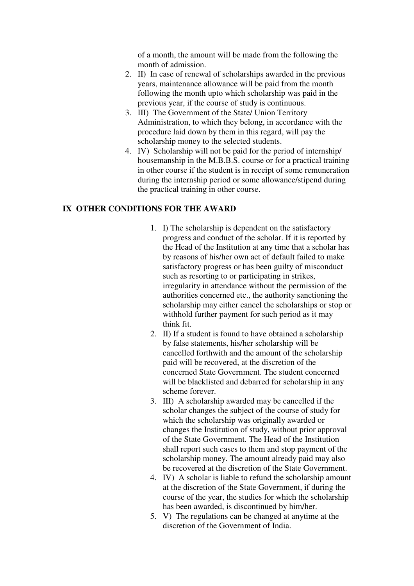of a month, the amount will be made from the following the month of admission.

- 2. II) In case of renewal of scholarships awarded in the previous years, maintenance allowance will be paid from the month following the month upto which scholarship was paid in the previous year, if the course of study is continuous.
- 3. III) The Government of the State/ Union Territory Administration, to which they belong, in accordance with the procedure laid down by them in this regard, will pay the scholarship money to the selected students.
- 4. IV) Scholarship will not be paid for the period of internship/ housemanship in the M.B.B.S. course or for a practical training in other course if the student is in receipt of some remuneration during the internship period or some allowance/stipend during the practical training in other course.

#### **IX OTHER CONDITIONS FOR THE AWARD**

- 1. I) The scholarship is dependent on the satisfactory progress and conduct of the scholar. If it is reported by the Head of the Institution at any time that a scholar has by reasons of his/her own act of default failed to make satisfactory progress or has been guilty of misconduct such as resorting to or participating in strikes, irregularity in attendance without the permission of the authorities concerned etc., the authority sanctioning the scholarship may either cancel the scholarships or stop or withhold further payment for such period as it may think fit.
- 2. II) If a student is found to have obtained a scholarship by false statements, his/her scholarship will be cancelled forthwith and the amount of the scholarship paid will be recovered, at the discretion of the concerned State Government. The student concerned will be blacklisted and debarred for scholarship in any scheme forever.
- 3. III) A scholarship awarded may be cancelled if the scholar changes the subject of the course of study for which the scholarship was originally awarded or changes the Institution of study, without prior approval of the State Government. The Head of the Institution shall report such cases to them and stop payment of the scholarship money. The amount already paid may also be recovered at the discretion of the State Government.
- 4. IV) A scholar is liable to refund the scholarship amount at the discretion of the State Government, if during the course of the year, the studies for which the scholarship has been awarded, is discontinued by him/her.
- 5. V) The regulations can be changed at anytime at the discretion of the Government of India.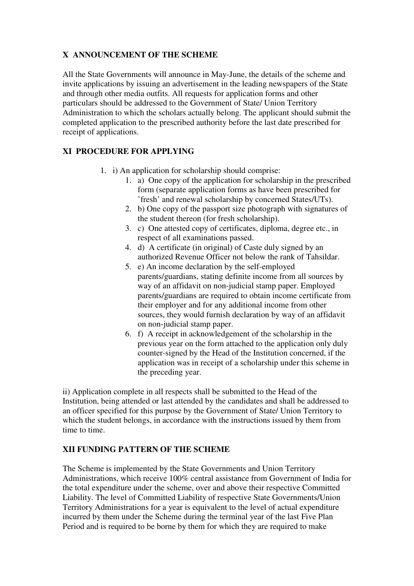# **X ANNOUNCEMENT OF THE SCHEME**

All the State Governments will announce in May-June, the details of the scheme and invite applications by issuing an advertisement in the leading newspapers of the State and through other media outfits. All requests for application forms and other particulars should be addressed to the Government of State/ Union Territory Administration to which the scholars actually belong. The applicant should submit the completed application to the prescribed authority before the last date prescribed for receipt of applications.

# **XI PROCEDURE FOR APPLYING**

- 1. i) An application for scholarship should comprise:
	- 1. a) One copy of the application for scholarship in the prescribed form (separate application forms as have been prescribed for 'fresh' and renewal scholarship by concerned States/UTs).
	- 2. b) One copy of the passport size photograph with signatures of the student thereon (for fresh scholarship).
	- 3. c) One attested copy of certificates, diploma, degree etc., in respect of all examinations passed.
	- 4. d) A certificate (in original) of Caste duly signed by an authorized Revenue Officer not below the rank of Tahsildar.
	- 5. e) An income declaration by the self-employed parents/guardians, stating definite income from all sources by way of an affidavit on non-judicial stamp paper. Employed parents/guardians are required to obtain income certificate from their employer and for any additional income from other sources, they would furnish declaration by way of an affidavit on non-judicial stamp paper.
	- 6. f) A receipt in acknowledgement of the scholarship in the previous year on the form attached to the application only duly counter-signed by the Head of the Institution concerned, if the application was in receipt of a scholarship under this scheme in the preceding year.

ii) Application complete in all respects shall be submitted to the Head of the Institution, being attended or last attended by the candidates and shall be addressed to an officer specified for this purpose by the Government of State/ Union Territory to which the student belongs, in accordance with the instructions issued by them from time to time.

# **XII FUNDING PATTERN OF THE SCHEME**

The Scheme is implemented by the State Governments and Union Territory Administrations, which receive 100% central assistance from Government of India for the total expenditure under the scheme, over and above their respective Committed Liability. The level of Committed Liability of respective State Governments/Union Territory Administrations for a year is equivalent to the level of actual expenditure incurred by them under the Scheme during the terminal year of the last Five Plan Period and is required to be borne by them for which they are required to make